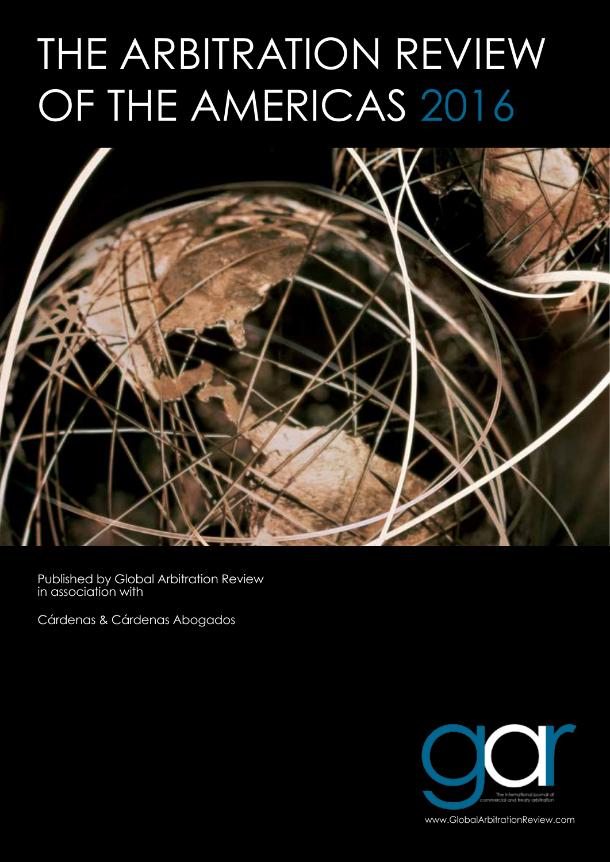# THE ARBITRATION REVIEW OF THE AMERICAS 2016



Published by Global Arbitration Review in association with

Cárdenas & Cárdenas Abogados



www.GlobalArbitrationReview.com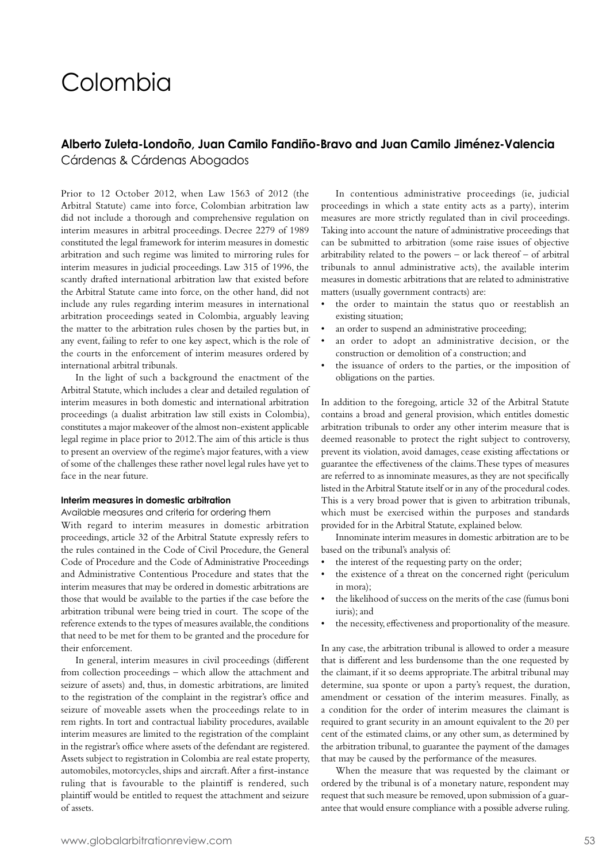# Colombia

# **Alberto Zuleta-Londoño, Juan Camilo Fandiño-Bravo and Juan Camilo Jiménez-Valencia**

Cárdenas & Cárdenas Abogados

Prior to 12 October 2012, when Law 1563 of 2012 (the Arbitral Statute) came into force, Colombian arbitration law did not include a thorough and comprehensive regulation on interim measures in arbitral proceedings. Decree 2279 of 1989 constituted the legal framework for interim measures in domestic arbitration and such regime was limited to mirroring rules for interim measures in judicial proceedings. Law 315 of 1996, the scantly drafted international arbitration law that existed before the Arbitral Statute came into force, on the other hand, did not include any rules regarding interim measures in international arbitration proceedings seated in Colombia, arguably leaving the matter to the arbitration rules chosen by the parties but, in any event, failing to refer to one key aspect, which is the role of the courts in the enforcement of interim measures ordered by international arbitral tribunals.

In the light of such a background the enactment of the Arbitral Statute, which includes a clear and detailed regulation of interim measures in both domestic and international arbitration proceedings (a dualist arbitration law still exists in Colombia), constitutes a major makeover of the almost non-existent applicable legal regime in place prior to 2012. The aim of this article is thus to present an overview of the regime's major features, with a view of some of the challenges these rather novel legal rules have yet to face in the near future.

#### **Interim measures in domestic arbitration**

#### Available measures and criteria for ordering them

With regard to interim measures in domestic arbitration proceedings, article 32 of the Arbitral Statute expressly refers to the rules contained in the Code of Civil Procedure, the General Code of Procedure and the Code of Administrative Proceedings and Administrative Contentious Procedure and states that the interim measures that may be ordered in domestic arbitrations are those that would be available to the parties if the case before the arbitration tribunal were being tried in court. The scope of the reference extends to the types of measures available, the conditions that need to be met for them to be granted and the procedure for their enforcement.

In general, interim measures in civil proceedings (different from collection proceedings – which allow the attachment and seizure of assets) and, thus, in domestic arbitrations, are limited to the registration of the complaint in the registrar's office and seizure of moveable assets when the proceedings relate to in rem rights. In tort and contractual liability procedures, available interim measures are limited to the registration of the complaint in the registrar's office where assets of the defendant are registered. Assets subject to registration in Colombia are real estate property, automobiles, motorcycles, ships and aircraft. After a first-instance ruling that is favourable to the plaintiff is rendered, such plaintiff would be entitled to request the attachment and seizure of assets.

In contentious administrative proceedings (ie, judicial proceedings in which a state entity acts as a party), interim measures are more strictly regulated than in civil proceedings. Taking into account the nature of administrative proceedings that can be submitted to arbitration (some raise issues of objective arbitrability related to the powers – or lack thereof – of arbitral tribunals to annul administrative acts), the available interim measures in domestic arbitrations that are related to administrative matters (usually government contracts) are:

- the order to maintain the status quo or reestablish an existing situation;
- an order to suspend an administrative proceeding;
- an order to adopt an administrative decision, or the construction or demolition of a construction; and
- the issuance of orders to the parties, or the imposition of obligations on the parties.

In addition to the foregoing, article 32 of the Arbitral Statute contains a broad and general provision, which entitles domestic arbitration tribunals to order any other interim measure that is deemed reasonable to protect the right subject to controversy, prevent its violation, avoid damages, cease existing affectations or guarantee the effectiveness of the claims. These types of measures are referred to as innominate measures, as they are not specifically listed in the Arbitral Statute itself or in any of the procedural codes. This is a very broad power that is given to arbitration tribunals, which must be exercised within the purposes and standards provided for in the Arbitral Statute, explained below.

Innominate interim measures in domestic arbitration are to be based on the tribunal's analysis of:

- the interest of the requesting party on the order;
- the existence of a threat on the concerned right (periculum in mora);
- the likelihood of success on the merits of the case (fumus boni iuris); and
- the necessity, effectiveness and proportionality of the measure.

In any case, the arbitration tribunal is allowed to order a measure that is different and less burdensome than the one requested by the claimant, if it so deems appropriate. The arbitral tribunal may determine, sua sponte or upon a party's request, the duration, amendment or cessation of the interim measures. Finally, as a condition for the order of interim measures the claimant is required to grant security in an amount equivalent to the 20 per cent of the estimated claims, or any other sum, as determined by the arbitration tribunal, to guarantee the payment of the damages that may be caused by the performance of the measures.

When the measure that was requested by the claimant or ordered by the tribunal is of a monetary nature, respondent may request that such measure be removed, upon submission of a guarantee that would ensure compliance with a possible adverse ruling.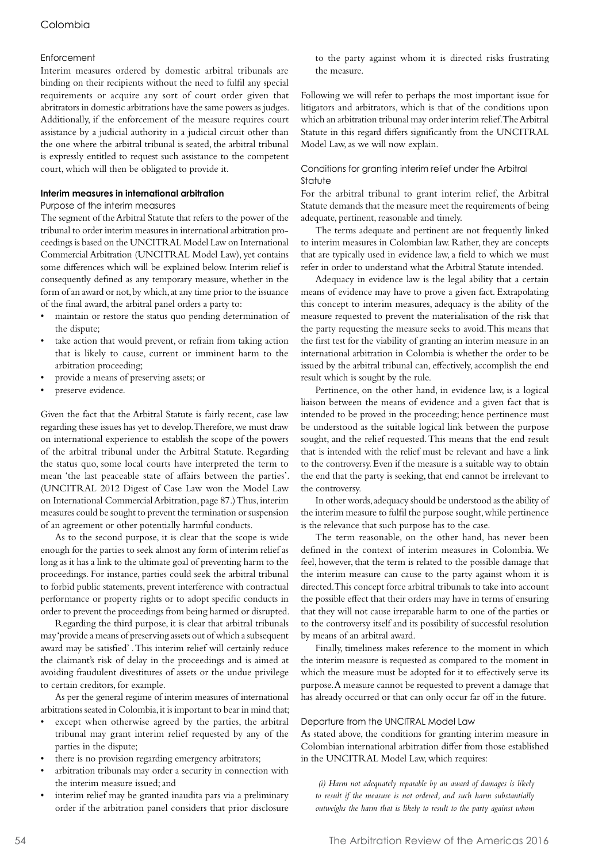### Colombia

#### **Enforcement**

Interim measures ordered by domestic arbitral tribunals are binding on their recipients without the need to fulfil any special requirements or acquire any sort of court order given that abritrators in domestic arbitrations have the same powers as judges. Additionally, if the enforcement of the measure requires court assistance by a judicial authority in a judicial circuit other than the one where the arbitral tribunal is seated, the arbitral tribunal is expressly entitled to request such assistance to the competent court, which will then be obligated to provide it.

#### **Interim measures in international arbitration**

#### Purpose of the interim measures

The segment of the Arbitral Statute that refers to the power of the tribunal to order interim measures in international arbitration proceedings is based on the UNCITRAL Model Law on International Commercial Arbitration (UNCITRAL Model Law), yet contains some differences which will be explained below. Interim relief is consequently defined as any temporary measure, whether in the form of an award or not, by which, at any time prior to the issuance of the final award, the arbitral panel orders a party to:

- maintain or restore the status quo pending determination of the dispute;
- take action that would prevent, or refrain from taking action that is likely to cause, current or imminent harm to the arbitration proceeding;
- provide a means of preserving assets; or
- preserve evidence.

Given the fact that the Arbitral Statute is fairly recent, case law regarding these issues has yet to develop. Therefore, we must draw on international experience to establish the scope of the powers of the arbitral tribunal under the Arbitral Statute. Regarding the status quo, some local courts have interpreted the term to mean 'the last peaceable state of affairs between the parties'. (UNCITRAL 2012 Digest of Case Law won the Model Law on International Commercial Arbitration, page 87.) Thus, interim measures could be sought to prevent the termination or suspension of an agreement or other potentially harmful conducts.

As to the second purpose, it is clear that the scope is wide enough for the parties to seek almost any form of interim relief as long as it has a link to the ultimate goal of preventing harm to the proceedings. For instance, parties could seek the arbitral tribunal to forbid public statements, prevent interference with contractual performance or property rights or to adopt specific conducts in order to prevent the proceedings from being harmed or disrupted.

Regarding the third purpose, it is clear that arbitral tribunals may 'provide a means of preserving assets out of which a subsequent award may be satisfied' . This interim relief will certainly reduce the claimant's risk of delay in the proceedings and is aimed at avoiding fraudulent divestitures of assets or the undue privilege to certain creditors, for example.

As per the general regime of interim measures of international arbitrations seated in Colombia, it is important to bear in mind that;

- except when otherwise agreed by the parties, the arbitral tribunal may grant interim relief requested by any of the parties in the dispute;
- there is no provision regarding emergency arbitrators;
- arbitration tribunals may order a security in connection with the interim measure issued; and
- interim relief may be granted inaudita pars via a preliminary order if the arbitration panel considers that prior disclosure

to the party against whom it is directed risks frustrating the measure.

Following we will refer to perhaps the most important issue for litigators and arbitrators, which is that of the conditions upon which an arbitration tribunal may order interim relief. The Arbitral Statute in this regard differs significantly from the UNCITRAL Model Law, as we will now explain.

#### Conditions for granting interim relief under the Arbitral Statute

For the arbitral tribunal to grant interim relief, the Arbitral Statute demands that the measure meet the requirements of being adequate, pertinent, reasonable and timely.

The terms adequate and pertinent are not frequently linked to interim measures in Colombian law. Rather, they are concepts that are typically used in evidence law, a field to which we must refer in order to understand what the Arbitral Statute intended.

Adequacy in evidence law is the legal ability that a certain means of evidence may have to prove a given fact. Extrapolating this concept to interim measures, adequacy is the ability of the measure requested to prevent the materialisation of the risk that the party requesting the measure seeks to avoid. This means that the first test for the viability of granting an interim measure in an international arbitration in Colombia is whether the order to be issued by the arbitral tribunal can, effectively, accomplish the end result which is sought by the rule.

Pertinence, on the other hand, in evidence law, is a logical liaison between the means of evidence and a given fact that is intended to be proved in the proceeding; hence pertinence must be understood as the suitable logical link between the purpose sought, and the relief requested. This means that the end result that is intended with the relief must be relevant and have a link to the controversy. Even if the measure is a suitable way to obtain the end that the party is seeking, that end cannot be irrelevant to the controversy.

In other words, adequacy should be understood as the ability of the interim measure to fulfil the purpose sought, while pertinence is the relevance that such purpose has to the case.

The term reasonable, on the other hand, has never been defined in the context of interim measures in Colombia. We feel, however, that the term is related to the possible damage that the interim measure can cause to the party against whom it is directed. This concept force arbitral tribunals to take into account the possible effect that their orders may have in terms of ensuring that they will not cause irreparable harm to one of the parties or to the controversy itself and its possibility of successful resolution by means of an arbitral award.

Finally, timeliness makes reference to the moment in which the interim measure is requested as compared to the moment in which the measure must be adopted for it to effectively serve its purpose. A measure cannot be requested to prevent a damage that has already occurred or that can only occur far off in the future.

#### Departure from the UNCITRAL Model Law

As stated above, the conditions for granting interim measure in Colombian international arbitration differ from those established in the UNCITRAL Model Law, which requires:

 *(i) Harm not adequately reparable by an award of damages is likely to result if the measure is not ordered, and such harm substantially outweighs the harm that is likely to result to the party against whom*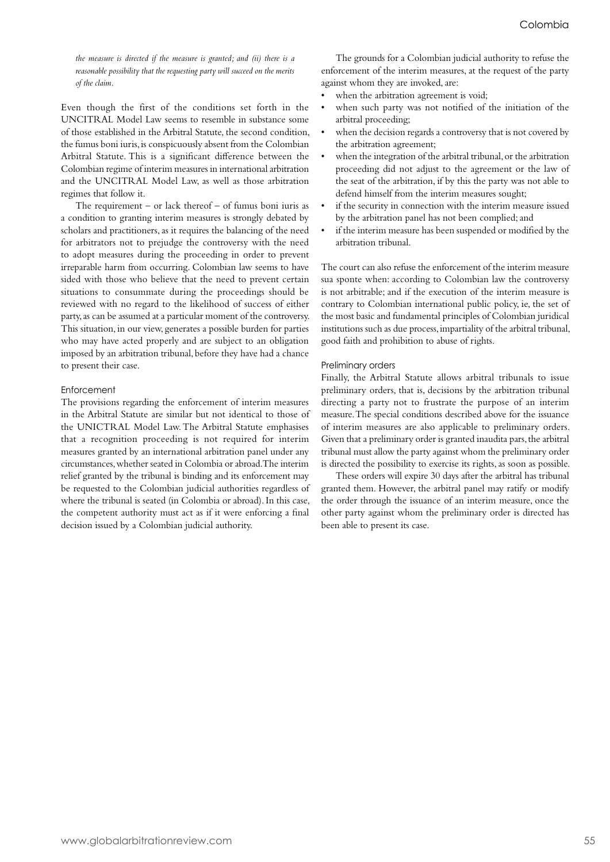*the measure is directed if the measure is granted; and (ii) there is a reasonable possibility that the requesting party will succeed on the merits of the claim.*

Even though the first of the conditions set forth in the UNCITRAL Model Law seems to resemble in substance some of those established in the Arbitral Statute, the second condition, the fumus boni iuris, is conspicuously absent from the Colombian Arbitral Statute. This is a significant difference between the Colombian regime of interim measures in international arbitration and the UNCITRAL Model Law, as well as those arbitration regimes that follow it.

The requirement  $-$  or lack thereof  $-$  of fumus boni iuris as a condition to granting interim measures is strongly debated by scholars and practitioners, as it requires the balancing of the need for arbitrators not to prejudge the controversy with the need to adopt measures during the proceeding in order to prevent irreparable harm from occurring. Colombian law seems to have sided with those who believe that the need to prevent certain situations to consummate during the proceedings should be reviewed with no regard to the likelihood of success of either party, as can be assumed at a particular moment of the controversy. This situation, in our view, generates a possible burden for parties who may have acted properly and are subject to an obligation imposed by an arbitration tribunal, before they have had a chance to present their case.

#### Enforcement

The provisions regarding the enforcement of interim measures in the Arbitral Statute are similar but not identical to those of the UNICTRAL Model Law. The Arbitral Statute emphasises that a recognition proceeding is not required for interim measures granted by an international arbitration panel under any circumstances, whether seated in Colombia or abroad. The interim relief granted by the tribunal is binding and its enforcement may be requested to the Colombian judicial authorities regardless of where the tribunal is seated (in Colombia or abroad). In this case, the competent authority must act as if it were enforcing a final decision issued by a Colombian judicial authority.

The grounds for a Colombian judicial authority to refuse the enforcement of the interim measures, at the request of the party against whom they are invoked, are:

- when the arbitration agreement is void;
- when such party was not notified of the initiation of the arbitral proceeding;
- when the decision regards a controversy that is not covered by the arbitration agreement;
- when the integration of the arbitral tribunal, or the arbitration proceeding did not adjust to the agreement or the law of the seat of the arbitration, if by this the party was not able to defend himself from the interim measures sought;
- if the security in connection with the interim measure issued by the arbitration panel has not been complied; and
- if the interim measure has been suspended or modified by the arbitration tribunal.

The court can also refuse the enforcement of the interim measure sua sponte when: according to Colombian law the controversy is not arbitrable; and if the execution of the interim measure is contrary to Colombian international public policy, ie, the set of the most basic and fundamental principles of Colombian juridical institutions such as due process, impartiality of the arbitral tribunal, good faith and prohibition to abuse of rights.

#### Preliminary orders

Finally, the Arbitral Statute allows arbitral tribunals to issue preliminary orders, that is, decisions by the arbitration tribunal directing a party not to frustrate the purpose of an interim measure. The special conditions described above for the issuance of interim measures are also applicable to preliminary orders. Given that a preliminary order is granted inaudita pars, the arbitral tribunal must allow the party against whom the preliminary order is directed the possibility to exercise its rights, as soon as possible.

These orders will expire 30 days after the arbitral has tribunal granted them. However, the arbitral panel may ratify or modify the order through the issuance of an interim measure, once the other party against whom the preliminary order is directed has been able to present its case.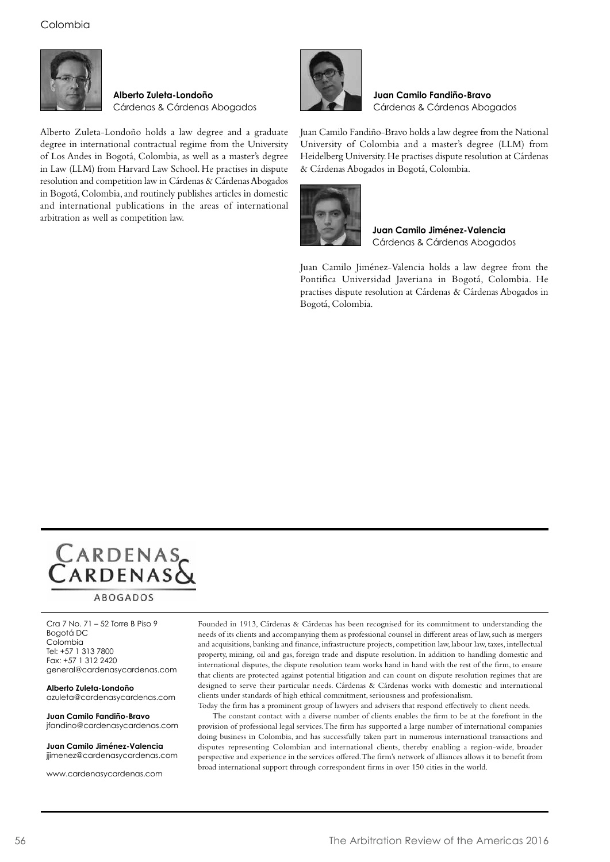## Colombia



**Alberto Zuleta-Londoño** Cárdenas & Cárdenas Abogados

Alberto Zuleta-Londoño holds a law degree and a graduate degree in international contractual regime from the University of Los Andes in Bogotá, Colombia, as well as a master's degree in Law (LLM) from Harvard Law School. He practises in dispute resolution and competition law in Cárdenas & Cárdenas Abogados in Bogotá, Colombia, and routinely publishes articles in domestic and international publications in the areas of international arbitration as well as competition law.



**Juan Camilo Fandiño-Bravo** Cárdenas & Cárdenas Abogados

Juan Camilo Fandiño-Bravo holds a law degree from the National University of Colombia and a master's degree (LLM) from Heidelberg University. He practises dispute resolution at Cárdenas & Cárdenas Abogados in Bogotá, Colombia.



**Juan Camilo Jiménez-Valencia** Cárdenas & Cárdenas Abogados

Juan Camilo Jiménez-Valencia holds a law degree from the Pontifica Universidad Javeriana in Bogotá, Colombia. He practises dispute resolution at Cárdenas & Cárdenas Abogados in Bogotá, Colombia.



**ABOGADOS** 

Cra 7 No. 71 – 52 Torre B Piso 9 Bogotá DC Colombia Tel: +57 1 313 7800 Fax: +57 1 312 2420 general@cardenasycardenas.com

**Alberto Zuleta-Londoño** azuleta@cardenasycardenas.com

**Juan Camilo Fandiño-Bravo** jfandino@cardenasycardenas.com

**Juan Camilo Jiménez-Valencia** jjimenez@cardenasycardenas.com

www.cardenasycardenas.com

Founded in 1913, Cárdenas & Cárdenas has been recognised for its commitment to understanding the needs of its clients and accompanying them as professional counsel in different areas of law, such as mergers and acquisitions, banking and finance, infrastructure projects, competition law, labour law, taxes, intellectual property, mining, oil and gas, foreign trade and dispute resolution. In addition to handling domestic and international disputes, the dispute resolution team works hand in hand with the rest of the firm, to ensure that clients are protected against potential litigation and can count on dispute resolution regimes that are designed to serve their particular needs. Cárdenas & Cárdenas works with domestic and international clients under standards of high ethical commitment, seriousness and professionalism.

Today the firm has a prominent group of lawyers and advisers that respond effectively to client needs.

The constant contact with a diverse number of clients enables the firm to be at the forefront in the provision of professional legal services. The firm has supported a large number of international companies doing business in Colombia, and has successfully taken part in numerous international transactions and disputes representing Colombian and international clients, thereby enabling a region-wide, broader perspective and experience in the services offered. The firm's network of alliances allows it to benefit from broad international support through correspondent firms in over 150 cities in the world.